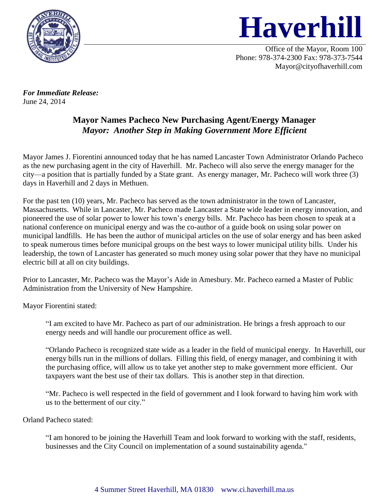



Office of the Mayor, Room 100 Phone: 978-374-2300 Fax: 978-373-7544 Mayor@cityofhaverhill.com

*For Immediate Release:*  June 24, 2014

## **Mayor Names Pacheco New Purchasing Agent/Energy Manager** *Mayor: Another Step in Making Government More Efficient*

Mayor James J. Fiorentini announced today that he has named Lancaster Town Administrator Orlando Pacheco as the new purchasing agent in the city of Haverhill. Mr. Pacheco will also serve the energy manager for the city—a position that is partially funded by a State grant. As energy manager, Mr. Pacheco will work three (3) days in Haverhill and 2 days in Methuen.

For the past ten (10) years, Mr. Pacheco has served as the town administrator in the town of Lancaster, Massachusetts. While in Lancaster, Mr. Pacheco made Lancaster a State wide leader in energy innovation, and pioneered the use of solar power to lower his town's energy bills. Mr. Pacheco has been chosen to speak at a national conference on municipal energy and was the co-author of a guide book on using solar power on municipal landfills. He has been the author of municipal articles on the use of solar energy and has been asked to speak numerous times before municipal groups on the best ways to lower municipal utility bills. Under his leadership, the town of Lancaster has generated so much money using solar power that they have no municipal electric bill at all on city buildings.

Prior to Lancaster, Mr. Pacheco was the Mayor's Aide in Amesbury. Mr. Pacheco earned a Master of Public Administration from the University of New Hampshire.

Mayor Fiorentini stated:

"I am excited to have Mr. Pacheco as part of our administration. He brings a fresh approach to our energy needs and will handle our procurement office as well.

"Orlando Pacheco is recognized state wide as a leader in the field of municipal energy. In Haverhill, our energy bills run in the millions of dollars. Filling this field, of energy manager, and combining it with the purchasing office, will allow us to take yet another step to make government more efficient. Our taxpayers want the best use of their tax dollars. This is another step in that direction.

"Mr. Pacheco is well respected in the field of government and I look forward to having him work with us to the betterment of our city."

Orland Pacheco stated:

"I am honored to be joining the Haverhill Team and look forward to working with the staff, residents, businesses and the City Council on implementation of a sound sustainability agenda."